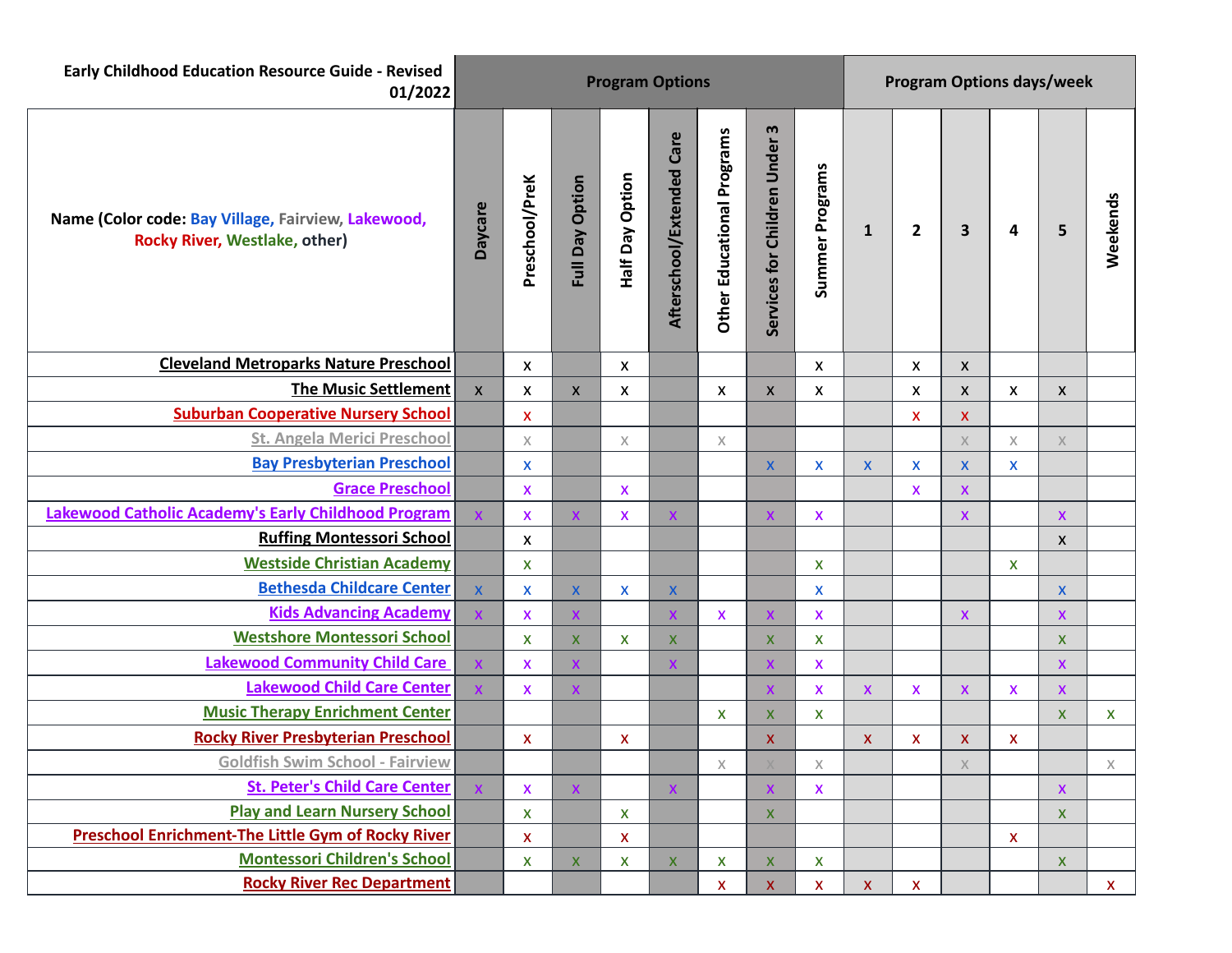| <b>Early Childhood Education Resource Guide - Revised</b><br>01/2022                       | <b>Program Options</b> |                           |                    |                    |                           |                                   |                               |                       | <b>Program Options days/week</b> |              |                                                                       |                           |                           |          |  |
|--------------------------------------------------------------------------------------------|------------------------|---------------------------|--------------------|--------------------|---------------------------|-----------------------------------|-------------------------------|-----------------------|----------------------------------|--------------|-----------------------------------------------------------------------|---------------------------|---------------------------|----------|--|
| Name (Color code: Bay Village, Fairview, Lakewood,<br><b>Rocky River, Westlake, other)</b> | <b>Daycare</b>         | Preschool/PreK            | Full Day Option    | Half Day Option    | Afterschool/Extended Care | <b>Other Educational Programs</b> | Services for Children Under 3 | Summer Programs       | $\mathbf{1}$                     | $\mathbf{2}$ | 3                                                                     | 4                         | 5                         | Weekends |  |
| <b>Cleveland Metroparks Nature Preschool</b>                                               |                        | $\boldsymbol{\mathsf{X}}$ |                    | X                  |                           |                                   |                               | X                     |                                  | X            | $\boldsymbol{\mathsf{X}}$                                             |                           |                           |          |  |
| <b>The Music Settlement</b>                                                                | $\mathsf{x}$           | $\pmb{\times}$            | $\pmb{\mathsf{X}}$ | X                  |                           | $\pmb{\times}$                    | $\pmb{\mathsf{X}}$            | X                     |                                  | X            | X                                                                     | $\pmb{\times}$            | $\boldsymbol{\mathsf{X}}$ |          |  |
| <b>Suburban Cooperative Nursery School</b>                                                 |                        | $\boldsymbol{\mathsf{x}}$ |                    |                    |                           |                                   |                               |                       |                                  | X.           | $\boldsymbol{\mathsf{X}}$                                             |                           |                           |          |  |
| <b>St. Angela Merici Preschool</b>                                                         |                        | $\mathsf X$               |                    | $\chi$             |                           | $\chi$                            |                               |                       |                                  |              | $\mathsf X$                                                           | $\mathsf X$               | $\times$                  |          |  |
| <b>Bay Presbyterian Preschool</b>                                                          |                        | $\boldsymbol{\mathsf{x}}$ |                    |                    |                           |                                   | $\mathsf{X}$                  | X                     | $\mathsf{x}$                     | $\mathsf{x}$ | $\mathsf{X}$                                                          | X                         |                           |          |  |
| <b>Grace Preschool</b>                                                                     |                        | X                         |                    | X                  |                           |                                   |                               |                       |                                  | <b>X</b>     | $\pmb{\mathsf{x}}$                                                    |                           |                           |          |  |
| <b>Lakewood Catholic Academy's Early Childhood Program</b>                                 |                        | $\overline{\mathsf{x}}$   | X                  | $\pmb{\mathsf{X}}$ | $\boldsymbol{\mathsf{X}}$ |                                   | $\mathsf{X}$                  | $\mathsf{x}$          |                                  |              | $\pmb{\mathsf{X}}$                                                    |                           | $\pmb{\mathsf{x}}$        |          |  |
| <b>Ruffing Montessori School</b>                                                           |                        | $\boldsymbol{\mathsf{x}}$ |                    |                    |                           |                                   |                               |                       |                                  |              |                                                                       |                           | $\boldsymbol{\mathsf{X}}$ |          |  |
| <b>Westside Christian Academy</b>                                                          |                        | $\boldsymbol{\mathsf{X}}$ |                    |                    |                           |                                   |                               | X                     |                                  |              |                                                                       | $\mathsf{x}$              |                           |          |  |
| <b>Bethesda Childcare Center</b>                                                           | $\mathsf{x}$           | $\pmb{\mathsf{X}}$        | $\pmb{\mathsf{X}}$ | X                  | $\pmb{\mathsf{X}}$        |                                   |                               | X                     |                                  |              |                                                                       |                           | $\mathsf{X}$              |          |  |
| <b>Kids Advancing Academy</b>                                                              | $\mathsf{X}$           | $\overline{\mathsf{x}}$   | $\mathsf{X}$       |                    | $\boldsymbol{\mathsf{X}}$ | $\pmb{\times}$                    | $\boldsymbol{\mathsf{X}}$     | $\pmb{\mathsf{X}}$    |                                  |              | $\boldsymbol{\mathsf{X}}$                                             |                           | <b>X</b>                  |          |  |
| <b>Westshore Montessori School</b>                                                         |                        | $\boldsymbol{\mathsf{X}}$ | $\pmb{\mathsf{X}}$ | $\mathsf{X}$       | $\boldsymbol{\mathsf{x}}$ |                                   | $\mathsf{X}$                  | X                     |                                  |              |                                                                       |                           | X.                        |          |  |
| <b>Lakewood Community Child Care</b>                                                       | $\pmb{\mathsf{X}}$     | $\pmb{\mathsf{X}}$        | X                  |                    | $\boldsymbol{\mathsf{x}}$ |                                   | $\pmb{\mathsf{X}}$            | $\pmb{\mathsf{X}}$    |                                  |              |                                                                       |                           | X                         |          |  |
| <b>Lakewood Child Care Center</b>                                                          | $\mathsf{x}$           | $\boldsymbol{\mathsf{X}}$ | X                  |                    |                           |                                   | $\mathsf{x}$                  | $\mathsf{x}$          | $\pmb{\mathsf{x}}$               | X            | $\boldsymbol{\mathsf{X}}$                                             | $\boldsymbol{\mathsf{X}}$ | <b>X</b>                  |          |  |
| <b>Music Therapy Enrichment Center</b>                                                     |                        |                           |                    |                    |                           | X                                 | $\mathsf{x}$                  | X                     |                                  |              |                                                                       |                           | $\mathsf{X}$              | <b>X</b> |  |
| <b>Rocky River Presbyterian Preschool</b>                                                  |                        | $\boldsymbol{\mathsf{x}}$ |                    | X                  |                           |                                   | X                             |                       | $\mathsf{x}$                     | X            | $\boldsymbol{\mathsf{X}}$                                             | $\boldsymbol{\mathsf{X}}$ |                           |          |  |
| <b>Goldfish Swim School - Fairview</b>                                                     |                        |                           |                    |                    |                           | $\boldsymbol{\times}$             |                               | $\boldsymbol{\times}$ |                                  |              | $\mathsf{X}% _{\mathsf{X}}^{\prime}=\mathsf{X}_{\mathsf{X}}^{\prime}$ |                           |                           | X        |  |
| <b>St. Peter's Child Care Center</b>                                                       |                        | X                         | $\mathsf{X}$       |                    | $\boldsymbol{\mathsf{X}}$ |                                   | $\mathsf{x}$                  | X                     |                                  |              |                                                                       |                           | $\mathsf{X}$              |          |  |
| <b>Play and Learn Nursery School</b>                                                       |                        | $\pmb{\times}$            |                    | $\mathsf X$        |                           |                                   | $\mathsf{X}$                  |                       |                                  |              |                                                                       |                           | $\boldsymbol{\mathsf{X}}$ |          |  |
| <b>Preschool Enrichment-The Little Gym of Rocky River</b>                                  |                        | X                         |                    | $\pmb{\mathsf{x}}$ |                           |                                   |                               |                       |                                  |              |                                                                       | $\mathsf{x}$              |                           |          |  |
| <b>Montessori Children's School</b>                                                        |                        | $\pmb{\mathsf{X}}$        | $\mathsf{X}$       | X                  | X                         | X                                 | X                             | X                     |                                  |              |                                                                       |                           | $\boldsymbol{\mathsf{X}}$ |          |  |
| <b>Rocky River Rec Department</b>                                                          |                        |                           |                    |                    |                           | X                                 | $\mathsf{X}$                  | X                     | X                                | $\mathsf{X}$ |                                                                       |                           |                           | X.       |  |